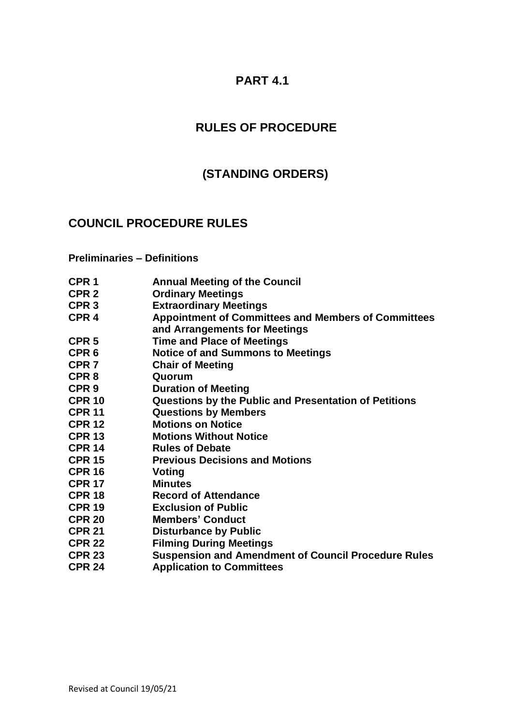# **PART 4.1**

# **RULES OF PROCEDURE**

## **(STANDING ORDERS)**

### **COUNCIL PROCEDURE RULES**

**Preliminaries – Definitions** 

- **CPR 1** Annual Meeting of the Council
- **CPR 2 Ordinary Meetings**
- **CPR 3 Extraordinary Meetings**
- **CPR 4 Appointment of Committees and Members of Committees and Arrangements for Meetings**
- **CPR 5 Time and Place of Meetings**
- **CPR 6 Notice of and Summons to Meetings**
- **CPR 7 Chair of Meeting**
- **CPR 8 Quorum**
- **CPR 9 Duration of Meeting**
- **CPR 10 Questions by the Public and Presentation of Petitions**
- **CPR 11 Questions by Members**
- **CPR 12 Motions on Notice**
- **CPR 13 Motions Without Notice**
- **CPR 14 Rules of Debate**
- **CPR 15 Previous Decisions and Motions**
- **CPR 16 Voting**
- **CPR 17 Minutes**
- **CPR 18 Record of Attendance**
- **CPR 19 Exclusion of Public**
- **CPR 20 Members' Conduct**
- **CPR 21 Disturbance by Public**
- **CPR 22 Filming During Meetings**
- **CPR 23 Suspension and Amendment of Council Procedure Rules**
- **CPR 24 Application to Committees**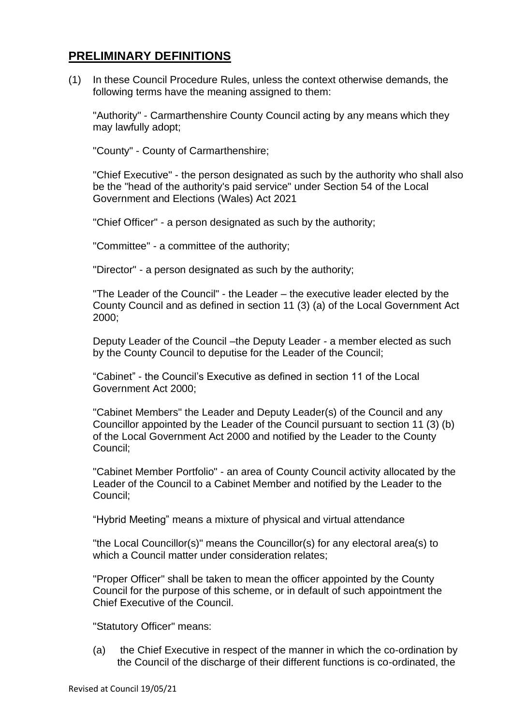# **PRELIMINARY DEFINITIONS**

(1) In these Council Procedure Rules, unless the context otherwise demands, the following terms have the meaning assigned to them:

"Authority" - Carmarthenshire County Council acting by any means which they may lawfully adopt;

"County" - County of Carmarthenshire;

"Chief Executive" - the person designated as such by the authority who shall also be the "head of the authority's paid service" under Section 54 of the Local Government and Elections (Wales) Act 2021

"Chief Officer" - a person designated as such by the authority;

"Committee" - a committee of the authority;

"Director" - a person designated as such by the authority;

"The Leader of the Council" - the Leader – the executive leader elected by the County Council and as defined in section 11 (3) (a) of the Local Government Act 2000;

Deputy Leader of the Council –the Deputy Leader - a member elected as such by the County Council to deputise for the Leader of the Council;

"Cabinet" - the Council's Executive as defined in section 11 of the Local Government Act 2000;

"Cabinet Members" the Leader and Deputy Leader(s) of the Council and any Councillor appointed by the Leader of the Council pursuant to section 11 (3) (b) of the Local Government Act 2000 and notified by the Leader to the County Council;

"Cabinet Member Portfolio" - an area of County Council activity allocated by the Leader of the Council to a Cabinet Member and notified by the Leader to the Council;

"Hybrid Meeting" means a mixture of physical and virtual attendance

"the Local Councillor(s)" means the Councillor(s) for any electoral area(s) to which a Council matter under consideration relates;

"Proper Officer" shall be taken to mean the officer appointed by the County Council for the purpose of this scheme, or in default of such appointment the Chief Executive of the Council.

"Statutory Officer" means:

(a) the Chief Executive in respect of the manner in which the co-ordination by the Council of the discharge of their different functions is co-ordinated, the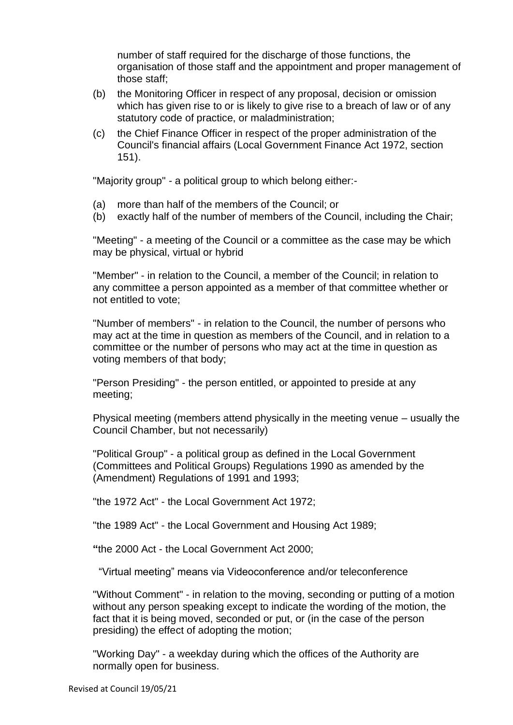number of staff required for the discharge of those functions, the organisation of those staff and the appointment and proper management of those staff;

- (b) the Monitoring Officer in respect of any proposal, decision or omission which has given rise to or is likely to give rise to a breach of law or of any statutory code of practice, or maladministration;
- (c) the Chief Finance Officer in respect of the proper administration of the Council's financial affairs (Local Government Finance Act 1972, section 151).

"Majority group" - a political group to which belong either:-

- (a) more than half of the members of the Council; or
- (b) exactly half of the number of members of the Council, including the Chair;

"Meeting" - a meeting of the Council or a committee as the case may be which may be physical, virtual or hybrid

"Member" - in relation to the Council, a member of the Council; in relation to any committee a person appointed as a member of that committee whether or not entitled to vote;

"Number of members" - in relation to the Council, the number of persons who may act at the time in question as members of the Council, and in relation to a committee or the number of persons who may act at the time in question as voting members of that body;

"Person Presiding" - the person entitled, or appointed to preside at any meeting;

Physical meeting (members attend physically in the meeting venue – usually the Council Chamber, but not necessarily)

"Political Group" - a political group as defined in the Local Government (Committees and Political Groups) Regulations 1990 as amended by the (Amendment) Regulations of 1991 and 1993;

"the 1972 Act" - the Local Government Act 1972;

"the 1989 Act" - the Local Government and Housing Act 1989;

**"**the 2000 Act - the Local Government Act 2000;

"Virtual meeting" means via Videoconference and/or teleconference

"Without Comment" - in relation to the moving, seconding or putting of a motion without any person speaking except to indicate the wording of the motion, the fact that it is being moved, seconded or put, or (in the case of the person presiding) the effect of adopting the motion;

"Working Day" - a weekday during which the offices of the Authority are normally open for business.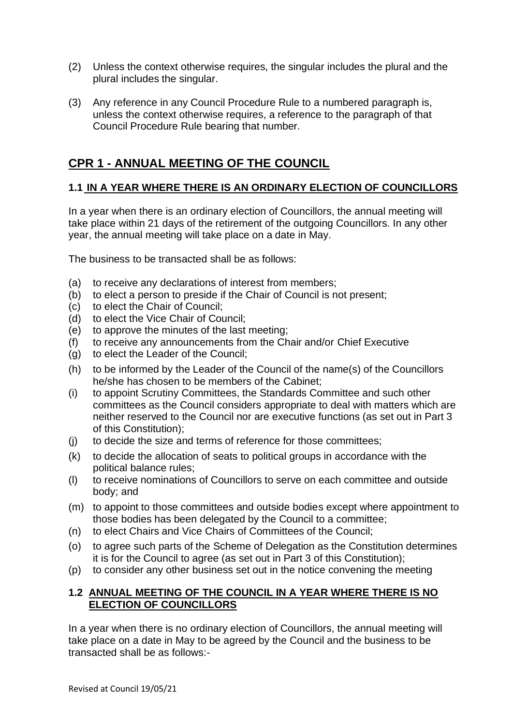- (2) Unless the context otherwise requires, the singular includes the plural and the plural includes the singular.
- (3) Any reference in any Council Procedure Rule to a numbered paragraph is, unless the context otherwise requires, a reference to the paragraph of that Council Procedure Rule bearing that number.

# **CPR 1 - ANNUAL MEETING OF THE COUNCIL**

### **1.1 IN A YEAR WHERE THERE IS AN ORDINARY ELECTION OF COUNCILLORS**

In a year when there is an ordinary election of Councillors, the annual meeting will take place within 21 days of the retirement of the outgoing Councillors. In any other year, the annual meeting will take place on a date in May.

The business to be transacted shall be as follows:

- (a) to receive any declarations of interest from members;
- (b) to elect a person to preside if the Chair of Council is not present;
- (c) to elect the Chair of Council;
- (d) to elect the Vice Chair of Council;
- (e) to approve the minutes of the last meeting;
- (f) to receive any announcements from the Chair and/or Chief Executive
- (g) to elect the Leader of the Council;
- (h) to be informed by the Leader of the Council of the name(s) of the Councillors he/she has chosen to be members of the Cabinet;
- (i) to appoint Scrutiny Committees, the Standards Committee and such other committees as the Council considers appropriate to deal with matters which are neither reserved to the Council nor are executive functions (as set out in Part 3 of this Constitution);
- (j) to decide the size and terms of reference for those committees;
- (k) to decide the allocation of seats to political groups in accordance with the political balance rules;
- (l) to receive nominations of Councillors to serve on each committee and outside body; and
- (m) to appoint to those committees and outside bodies except where appointment to those bodies has been delegated by the Council to a committee;
- (n) to elect Chairs and Vice Chairs of Committees of the Council;
- (o) to agree such parts of the Scheme of Delegation as the Constitution determines it is for the Council to agree (as set out in Part 3 of this Constitution);
- (p) to consider any other business set out in the notice convening the meeting

#### **1.2 ANNUAL MEETING OF THE COUNCIL IN A YEAR WHERE THERE IS NO ELECTION OF COUNCILLORS**

In a year when there is no ordinary election of Councillors, the annual meeting will take place on a date in May to be agreed by the Council and the business to be transacted shall be as follows:-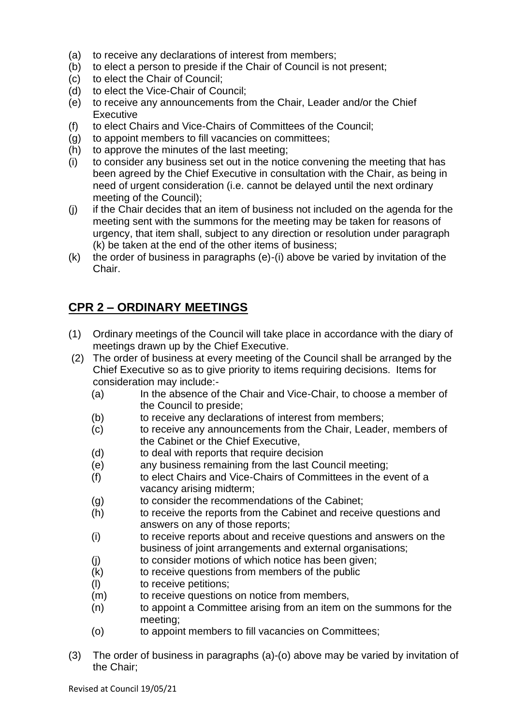- (a) to receive any declarations of interest from members;
- (b) to elect a person to preside if the Chair of Council is not present;
- (c) to elect the Chair of Council;
- (d) to elect the Vice-Chair of Council;
- (e) to receive any announcements from the Chair, Leader and/or the Chief **Executive**
- (f) to elect Chairs and Vice-Chairs of Committees of the Council;
- (g) to appoint members to fill vacancies on committees;
- (h) to approve the minutes of the last meeting;
- (i) to consider any business set out in the notice convening the meeting that has been agreed by the Chief Executive in consultation with the Chair, as being in need of urgent consideration (i.e. cannot be delayed until the next ordinary meeting of the Council);
- (j) if the Chair decides that an item of business not included on the agenda for the meeting sent with the summons for the meeting may be taken for reasons of urgency, that item shall, subject to any direction or resolution under paragraph (k) be taken at the end of the other items of business;
- (k) the order of business in paragraphs (e)-(i) above be varied by invitation of the Chair.

# **CPR 2 – ORDINARY MEETINGS**

- (1) Ordinary meetings of the Council will take place in accordance with the diary of meetings drawn up by the Chief Executive.
- (2) The order of business at every meeting of the Council shall be arranged by the Chief Executive so as to give priority to items requiring decisions. Items for consideration may include:-
	- (a) In the absence of the Chair and Vice-Chair, to choose a member of the Council to preside;
	- (b) to receive any declarations of interest from members;
	- (c) to receive any announcements from the Chair, Leader, members of the Cabinet or the Chief Executive,
	- (d) to deal with reports that require decision
	- (e) any business remaining from the last Council meeting;
	- (f) to elect Chairs and Vice-Chairs of Committees in the event of a vacancy arising midterm;
	- (g) to consider the recommendations of the Cabinet;
	- (h) to receive the reports from the Cabinet and receive questions and answers on any of those reports;
	- (i) to receive reports about and receive questions and answers on the business of joint arrangements and external organisations;
	- (j) to consider motions of which notice has been given;
	- (k) to receive questions from members of the public
	- (l) to receive petitions;
	- (m) to receive questions on notice from members,
	- (n) to appoint a Committee arising from an item on the summons for the meeting;
	- (o) to appoint members to fill vacancies on Committees;
- (3) The order of business in paragraphs (a)-(o) above may be varied by invitation of the Chair;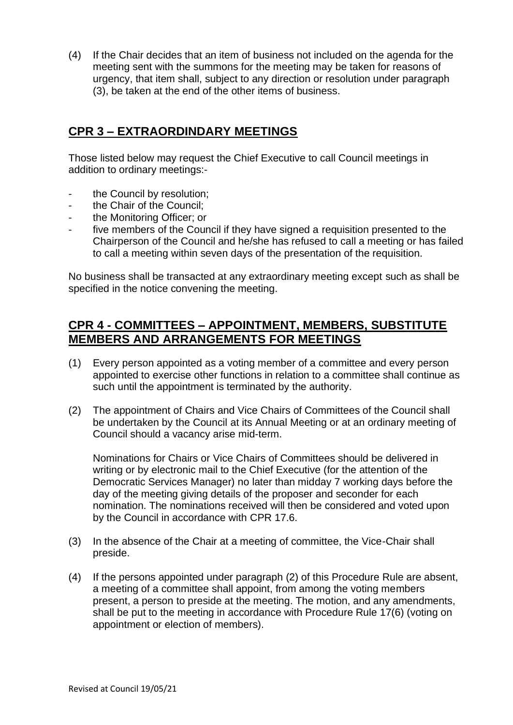(4) If the Chair decides that an item of business not included on the agenda for the meeting sent with the summons for the meeting may be taken for reasons of urgency, that item shall, subject to any direction or resolution under paragraph (3), be taken at the end of the other items of business.

# **CPR 3 – EXTRAORDINDARY MEETINGS**

Those listed below may request the Chief Executive to call Council meetings in addition to ordinary meetings:-

- the Council by resolution:
- the Chair of the Council;
- the Monitoring Officer: or
- five members of the Council if they have signed a requisition presented to the Chairperson of the Council and he/she has refused to call a meeting or has failed to call a meeting within seven days of the presentation of the requisition.

No business shall be transacted at any extraordinary meeting except such as shall be specified in the notice convening the meeting.

# **CPR 4 - COMMITTEES – APPOINTMENT, MEMBERS, SUBSTITUTE MEMBERS AND ARRANGEMENTS FOR MEETINGS**

- (1) Every person appointed as a voting member of a committee and every person appointed to exercise other functions in relation to a committee shall continue as such until the appointment is terminated by the authority.
- (2) The appointment of Chairs and Vice Chairs of Committees of the Council shall be undertaken by the Council at its Annual Meeting or at an ordinary meeting of Council should a vacancy arise mid-term.

Nominations for Chairs or Vice Chairs of Committees should be delivered in writing or by electronic mail to the Chief Executive (for the attention of the Democratic Services Manager) no later than midday 7 working days before the day of the meeting giving details of the proposer and seconder for each nomination. The nominations received will then be considered and voted upon by the Council in accordance with CPR 17.6.

- (3) In the absence of the Chair at a meeting of committee, the Vice-Chair shall preside.
- (4) If the persons appointed under paragraph (2) of this Procedure Rule are absent, a meeting of a committee shall appoint, from among the voting members present, a person to preside at the meeting. The motion, and any amendments, shall be put to the meeting in accordance with Procedure Rule 17(6) (voting on appointment or election of members).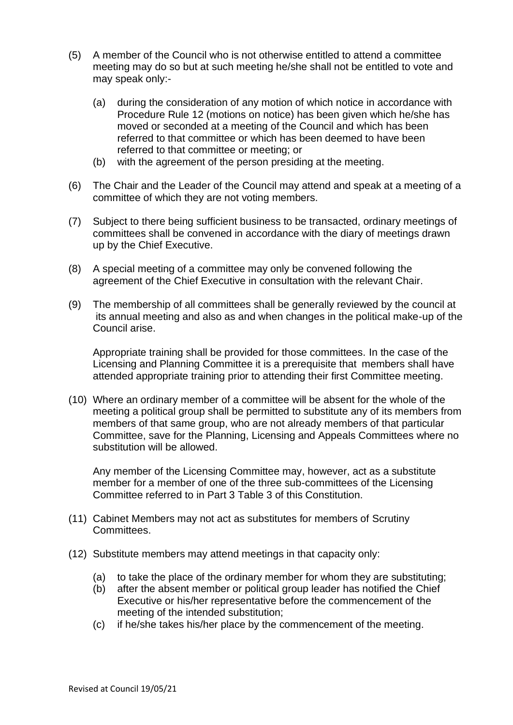- (5) A member of the Council who is not otherwise entitled to attend a committee meeting may do so but at such meeting he/she shall not be entitled to vote and may speak only:-
	- (a) during the consideration of any motion of which notice in accordance with Procedure Rule 12 (motions on notice) has been given which he/she has moved or seconded at a meeting of the Council and which has been referred to that committee or which has been deemed to have been referred to that committee or meeting; or
	- (b) with the agreement of the person presiding at the meeting.
- (6) The Chair and the Leader of the Council may attend and speak at a meeting of a committee of which they are not voting members.
- (7) Subject to there being sufficient business to be transacted, ordinary meetings of committees shall be convened in accordance with the diary of meetings drawn up by the Chief Executive.
- (8) A special meeting of a committee may only be convened following the agreement of the Chief Executive in consultation with the relevant Chair.
- (9) The membership of all committees shall be generally reviewed by the council at its annual meeting and also as and when changes in the political make-up of the Council arise.

Appropriate training shall be provided for those committees. In the case of the Licensing and Planning Committee it is a prerequisite that members shall have attended appropriate training prior to attending their first Committee meeting.

(10) Where an ordinary member of a committee will be absent for the whole of the meeting a political group shall be permitted to substitute any of its members from members of that same group, who are not already members of that particular Committee, save for the Planning, Licensing and Appeals Committees where no substitution will be allowed.

Any member of the Licensing Committee may, however, act as a substitute member for a member of one of the three sub-committees of the Licensing Committee referred to in Part 3 Table 3 of this Constitution.

- (11) Cabinet Members may not act as substitutes for members of Scrutiny Committees.
- (12) Substitute members may attend meetings in that capacity only:
	- (a) to take the place of the ordinary member for whom they are substituting;
	- (b) after the absent member or political group leader has notified the Chief Executive or his/her representative before the commencement of the meeting of the intended substitution;
	- (c) if he/she takes his/her place by the commencement of the meeting.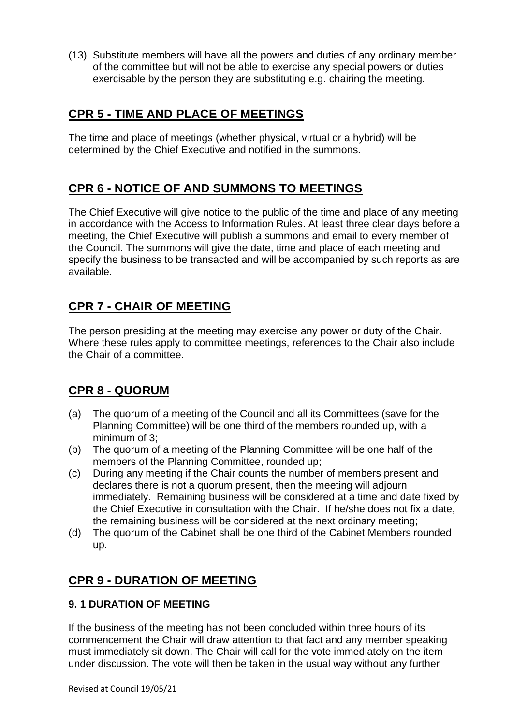(13) Substitute members will have all the powers and duties of any ordinary member of the committee but will not be able to exercise any special powers or duties exercisable by the person they are substituting e.g. chairing the meeting.

# **CPR 5 - TIME AND PLACE OF MEETINGS**

The time and place of meetings (whether physical, virtual or a hybrid) will be determined by the Chief Executive and notified in the summons.

# **CPR 6 - NOTICE OF AND SUMMONS TO MEETINGS**

The Chief Executive will give notice to the public of the time and place of any meeting in accordance with the Access to Information Rules. At least three clear days before a meeting, the Chief Executive will publish a summons and email to every member of the Council. The summons will give the date, time and place of each meeting and specify the business to be transacted and will be accompanied by such reports as are available.

# **CPR 7 - CHAIR OF MEETING**

The person presiding at the meeting may exercise any power or duty of the Chair. Where these rules apply to committee meetings, references to the Chair also include the Chair of a committee.

# **CPR 8 - QUORUM**

- (a) The quorum of a meeting of the Council and all its Committees (save for the Planning Committee) will be one third of the members rounded up, with a minimum of 3;
- (b) The quorum of a meeting of the Planning Committee will be one half of the members of the Planning Committee, rounded up;
- (c) During any meeting if the Chair counts the number of members present and declares there is not a quorum present, then the meeting will adjourn immediately. Remaining business will be considered at a time and date fixed by the Chief Executive in consultation with the Chair. If he/she does not fix a date, the remaining business will be considered at the next ordinary meeting;
- (d) The quorum of the Cabinet shall be one third of the Cabinet Members rounded up.

# **CPR 9 - DURATION OF MEETING**

### **9. 1 DURATION OF MEETING**

If the business of the meeting has not been concluded within three hours of its commencement the Chair will draw attention to that fact and any member speaking must immediately sit down. The Chair will call for the vote immediately on the item under discussion. The vote will then be taken in the usual way without any further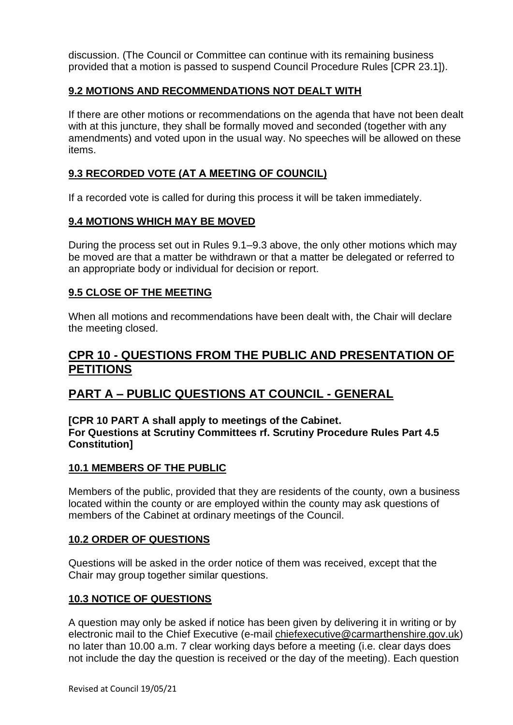discussion. (The Council or Committee can continue with its remaining business provided that a motion is passed to suspend Council Procedure Rules [CPR 23.1]).

#### **9.2 MOTIONS AND RECOMMENDATIONS NOT DEALT WITH**

If there are other motions or recommendations on the agenda that have not been dealt with at this juncture, they shall be formally moved and seconded (together with any amendments) and voted upon in the usual way. No speeches will be allowed on these items.

### **9.3 RECORDED VOTE (AT A MEETING OF COUNCIL)**

If a recorded vote is called for during this process it will be taken immediately.

#### **9.4 MOTIONS WHICH MAY BE MOVED**

During the process set out in Rules 9.1–9.3 above, the only other motions which may be moved are that a matter be withdrawn or that a matter be delegated or referred to an appropriate body or individual for decision or report.

#### **9.5 CLOSE OF THE MEETING**

When all motions and recommendations have been dealt with, the Chair will declare the meeting closed.

### **CPR 10 - QUESTIONS FROM THE PUBLIC AND PRESENTATION OF PETITIONS**

### **PART A – PUBLIC QUESTIONS AT COUNCIL - GENERAL**

#### **[CPR 10 PART A shall apply to meetings of the Cabinet. For Questions at Scrutiny Committees rf. Scrutiny Procedure Rules Part 4.5 Constitution]**

#### **10.1 MEMBERS OF THE PUBLIC**

Members of the public, provided that they are residents of the county, own a business located within the county or are employed within the county may ask questions of members of the Cabinet at ordinary meetings of the Council.

#### **10.2 ORDER OF QUESTIONS**

Questions will be asked in the order notice of them was received, except that the Chair may group together similar questions.

#### **10.3 NOTICE OF QUESTIONS**

A question may only be asked if notice has been given by delivering it in writing or by electronic mail to the Chief Executive (e-mail [chiefexecutive@carmarthenshire.gov.uk\)](mailto:chiefexecutive@carmarthenshire.gov.uk) no later than 10.00 a.m. 7 clear working days before a meeting (i.e. clear days does not include the day the question is received or the day of the meeting). Each question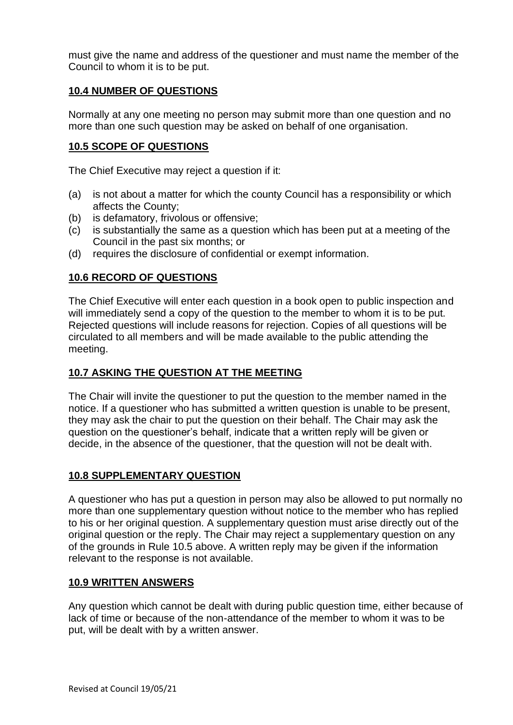must give the name and address of the questioner and must name the member of the Council to whom it is to be put.

### **10.4 NUMBER OF QUESTIONS**

Normally at any one meeting no person may submit more than one question and no more than one such question may be asked on behalf of one organisation.

#### **10.5 SCOPE OF QUESTIONS**

The Chief Executive may reject a question if it:

- (a) is not about a matter for which the county Council has a responsibility or which affects the County;
- (b) is defamatory, frivolous or offensive;
- (c) is substantially the same as a question which has been put at a meeting of the Council in the past six months; or
- (d) requires the disclosure of confidential or exempt information.

#### **10.6 RECORD OF QUESTIONS**

The Chief Executive will enter each question in a book open to public inspection and will immediately send a copy of the question to the member to whom it is to be put. Rejected questions will include reasons for rejection. Copies of all questions will be circulated to all members and will be made available to the public attending the meeting.

### **10.7 ASKING THE QUESTION AT THE MEETING**

The Chair will invite the questioner to put the question to the member named in the notice. If a questioner who has submitted a written question is unable to be present, they may ask the chair to put the question on their behalf. The Chair may ask the question on the questioner's behalf, indicate that a written reply will be given or decide, in the absence of the questioner, that the question will not be dealt with.

#### **10.8 SUPPLEMENTARY QUESTION**

A questioner who has put a question in person may also be allowed to put normally no more than one supplementary question without notice to the member who has replied to his or her original question. A supplementary question must arise directly out of the original question or the reply. The Chair may reject a supplementary question on any of the grounds in Rule 10.5 above. A written reply may be given if the information relevant to the response is not available.

#### **10.9 WRITTEN ANSWERS**

Any question which cannot be dealt with during public question time, either because of lack of time or because of the non-attendance of the member to whom it was to be put, will be dealt with by a written answer.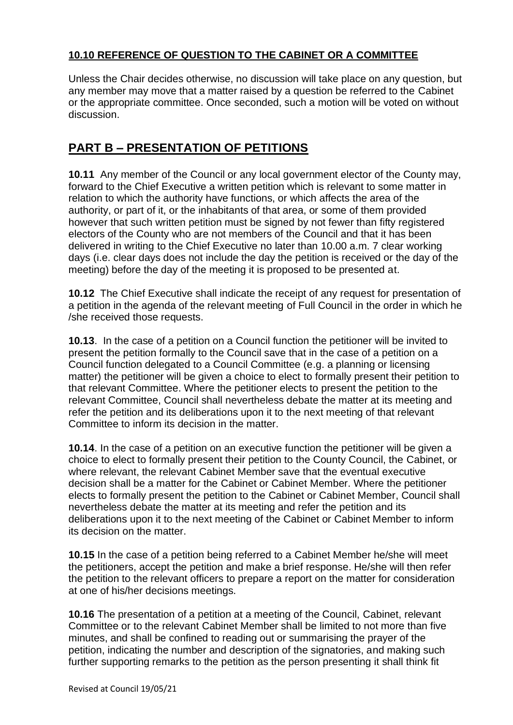### **10.10 REFERENCE OF QUESTION TO THE CABINET OR A COMMITTEE**

Unless the Chair decides otherwise, no discussion will take place on any question, but any member may move that a matter raised by a question be referred to the Cabinet or the appropriate committee. Once seconded, such a motion will be voted on without discussion.

# **PART B – PRESENTATION OF PETITIONS**

**10.11** Any member of the Council or any local government elector of the County may, forward to the Chief Executive a written petition which is relevant to some matter in relation to which the authority have functions, or which affects the area of the authority, or part of it, or the inhabitants of that area, or some of them provided however that such written petition must be signed by not fewer than fifty registered electors of the County who are not members of the Council and that it has been delivered in writing to the Chief Executive no later than 10.00 a.m. 7 clear working days (i.e. clear days does not include the day the petition is received or the day of the meeting) before the day of the meeting it is proposed to be presented at.

**10.12** The Chief Executive shall indicate the receipt of any request for presentation of a petition in the agenda of the relevant meeting of Full Council in the order in which he /she received those requests.

**10.13**. In the case of a petition on a Council function the petitioner will be invited to present the petition formally to the Council save that in the case of a petition on a Council function delegated to a Council Committee (e.g. a planning or licensing matter) the petitioner will be given a choice to elect to formally present their petition to that relevant Committee. Where the petitioner elects to present the petition to the relevant Committee, Council shall nevertheless debate the matter at its meeting and refer the petition and its deliberations upon it to the next meeting of that relevant Committee to inform its decision in the matter.

**10.14**. In the case of a petition on an executive function the petitioner will be given a choice to elect to formally present their petition to the County Council, the Cabinet, or where relevant, the relevant Cabinet Member save that the eventual executive decision shall be a matter for the Cabinet or Cabinet Member. Where the petitioner elects to formally present the petition to the Cabinet or Cabinet Member, Council shall nevertheless debate the matter at its meeting and refer the petition and its deliberations upon it to the next meeting of the Cabinet or Cabinet Member to inform its decision on the matter.

**10.15** In the case of a petition being referred to a Cabinet Member he/she will meet the petitioners, accept the petition and make a brief response. He/she will then refer the petition to the relevant officers to prepare a report on the matter for consideration at one of his/her decisions meetings.

**10.16** The presentation of a petition at a meeting of the Council, Cabinet, relevant Committee or to the relevant Cabinet Member shall be limited to not more than five minutes, and shall be confined to reading out or summarising the prayer of the petition, indicating the number and description of the signatories, and making such further supporting remarks to the petition as the person presenting it shall think fit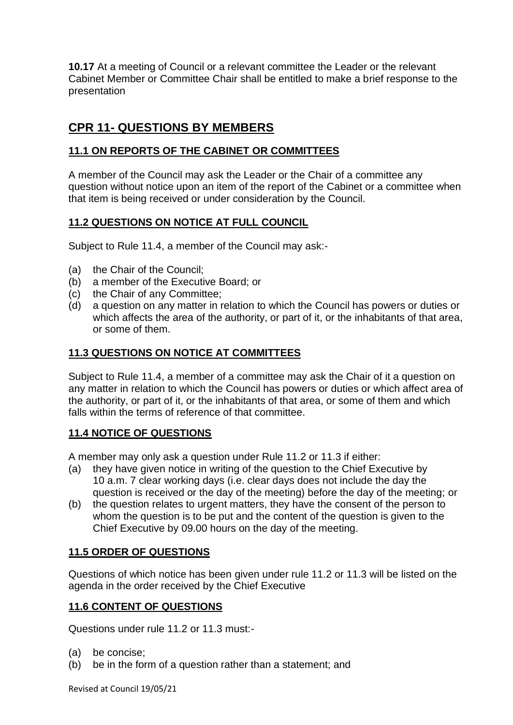**10.17** At a meeting of Council or a relevant committee the Leader or the relevant Cabinet Member or Committee Chair shall be entitled to make a brief response to the presentation

# **CPR 11- QUESTIONS BY MEMBERS**

### **11.1 ON REPORTS OF THE CABINET OR COMMITTEES**

A member of the Council may ask the Leader or the Chair of a committee any question without notice upon an item of the report of the Cabinet or a committee when that item is being received or under consideration by the Council.

### **11.2 QUESTIONS ON NOTICE AT FULL COUNCIL**

Subject to Rule 11.4, a member of the Council may ask:-

- (a) the Chair of the Council;
- (b) a member of the Executive Board; or
- (c) the Chair of any Committee;
- (d) a question on any matter in relation to which the Council has powers or duties or which affects the area of the authority, or part of it, or the inhabitants of that area, or some of them.

### **11.3 QUESTIONS ON NOTICE AT COMMITTEES**

Subject to Rule 11.4, a member of a committee may ask the Chair of it a question on any matter in relation to which the Council has powers or duties or which affect area of the authority, or part of it, or the inhabitants of that area, or some of them and which falls within the terms of reference of that committee.

### **11.4 NOTICE OF QUESTIONS**

A member may only ask a question under Rule 11.2 or 11.3 if either:

- (a) they have given notice in writing of the question to the Chief Executive by 10 a.m. 7 clear working days (i.e. clear days does not include the day the question is received or the day of the meeting) before the day of the meeting; or
- (b) the question relates to urgent matters, they have the consent of the person to whom the question is to be put and the content of the question is given to the Chief Executive by 09.00 hours on the day of the meeting.

### **11.5 ORDER OF QUESTIONS**

Questions of which notice has been given under rule 11.2 or 11.3 will be listed on the agenda in the order received by the Chief Executive

#### **11.6 CONTENT OF QUESTIONS**

Questions under rule 11.2 or 11.3 must:-

- (a) be concise;
- (b) be in the form of a question rather than a statement; and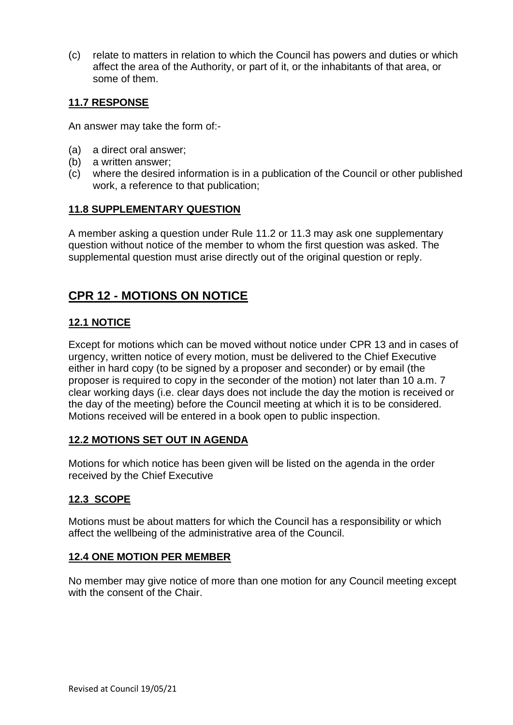(c) relate to matters in relation to which the Council has powers and duties or which affect the area of the Authority, or part of it, or the inhabitants of that area, or some of them.

#### **11.7 RESPONSE**

An answer may take the form of:-

- (a) a direct oral answer;
- (b) a written answer;
- (c) where the desired information is in a publication of the Council or other published work, a reference to that publication;

#### **11.8 SUPPLEMENTARY QUESTION**

A member asking a question under Rule 11.2 or 11.3 may ask one supplementary question without notice of the member to whom the first question was asked. The supplemental question must arise directly out of the original question or reply.

# **CPR 12 - MOTIONS ON NOTICE**

#### **12.1 NOTICE**

Except for motions which can be moved without notice under CPR 13 and in cases of urgency, written notice of every motion, must be delivered to the Chief Executive either in hard copy (to be signed by a proposer and seconder) or by email (the proposer is required to copy in the seconder of the motion) not later than 10 a.m. 7 clear working days (i.e. clear days does not include the day the motion is received or the day of the meeting) before the Council meeting at which it is to be considered. Motions received will be entered in a book open to public inspection.

### **12.2 MOTIONS SET OUT IN AGENDA**

Motions for which notice has been given will be listed on the agenda in the order received by the Chief Executive

### **12.3 SCOPE**

Motions must be about matters for which the Council has a responsibility or which affect the wellbeing of the administrative area of the Council.

#### **12.4 ONE MOTION PER MEMBER**

No member may give notice of more than one motion for any Council meeting except with the consent of the Chair.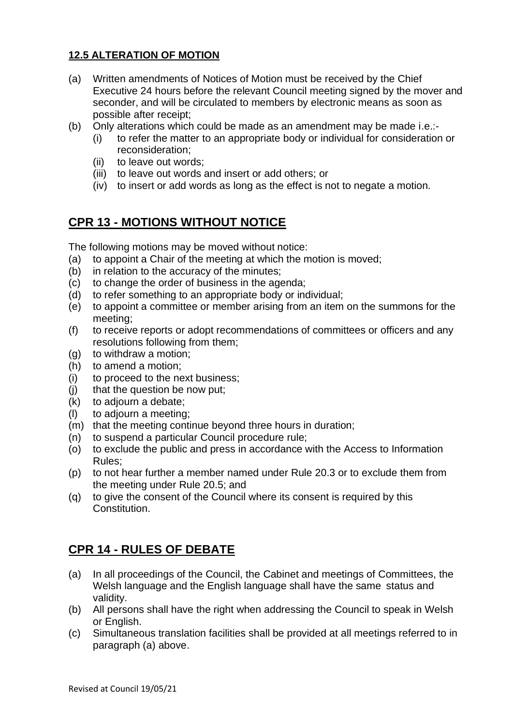#### **12.5 ALTERATION OF MOTION**

- (a) Written amendments of Notices of Motion must be received by the Chief Executive 24 hours before the relevant Council meeting signed by the mover and seconder, and will be circulated to members by electronic means as soon as possible after receipt;
- (b) Only alterations which could be made as an amendment may be made i.e.:-
	- (i) to refer the matter to an appropriate body or individual for consideration or reconsideration;
	- (ii) to leave out words;
	- (iii) to leave out words and insert or add others; or
	- (iv) to insert or add words as long as the effect is not to negate a motion.

# **CPR 13 - MOTIONS WITHOUT NOTICE**

The following motions may be moved without notice:

- (a) to appoint a Chair of the meeting at which the motion is moved;
- (b) in relation to the accuracy of the minutes;
- (c) to change the order of business in the agenda;
- (d) to refer something to an appropriate body or individual;
- (e) to appoint a committee or member arising from an item on the summons for the meeting;
- (f) to receive reports or adopt recommendations of committees or officers and any resolutions following from them;
- (g) to withdraw a motion;
- (h) to amend a motion;
- (i) to proceed to the next business;
- (j) that the question be now put;
- $(k)$  to adjourn a debate;
- (l) to adjourn a meeting;
- (m) that the meeting continue beyond three hours in duration;
- (n) to suspend a particular Council procedure rule;
- (o) to exclude the public and press in accordance with the Access to Information Rules;
- (p) to not hear further a member named under Rule 20.3 or to exclude them from the meeting under Rule 20.5; and
- (q) to give the consent of the Council where its consent is required by this **Constitution**

# **CPR 14 - RULES OF DEBATE**

- (a) In all proceedings of the Council, the Cabinet and meetings of Committees, the Welsh language and the English language shall have the same status and validity.
- (b) All persons shall have the right when addressing the Council to speak in Welsh or English.
- (c) Simultaneous translation facilities shall be provided at all meetings referred to in paragraph (a) above.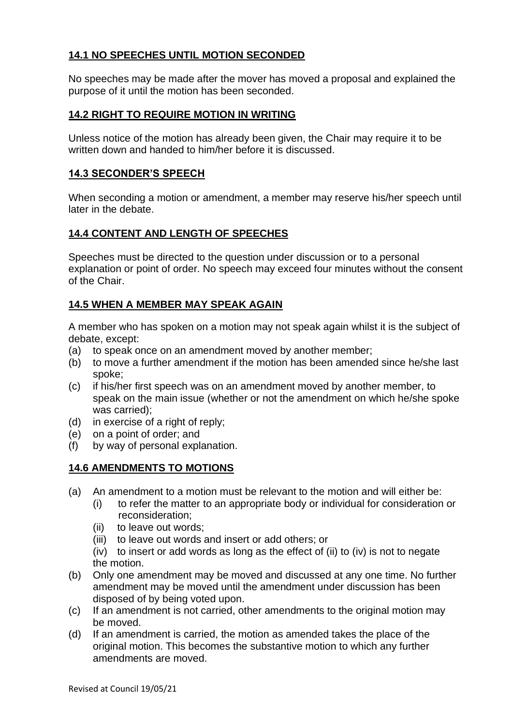### **14.1 NO SPEECHES UNTIL MOTION SECONDED**

No speeches may be made after the mover has moved a proposal and explained the purpose of it until the motion has been seconded.

### **14.2 RIGHT TO REQUIRE MOTION IN WRITING**

Unless notice of the motion has already been given, the Chair may require it to be written down and handed to him/her before it is discussed.

#### **14.3 SECONDER'S SPEECH**

When seconding a motion or amendment, a member may reserve his/her speech until later in the debate.

#### **14.4 CONTENT AND LENGTH OF SPEECHES**

Speeches must be directed to the question under discussion or to a personal explanation or point of order. No speech may exceed four minutes without the consent of the Chair.

### **14.5 WHEN A MEMBER MAY SPEAK AGAIN**

A member who has spoken on a motion may not speak again whilst it is the subject of debate, except:

- (a) to speak once on an amendment moved by another member;
- (b) to move a further amendment if the motion has been amended since he/she last spoke;
- (c) if his/her first speech was on an amendment moved by another member, to speak on the main issue (whether or not the amendment on which he/she spoke was carried);
- (d) in exercise of a right of reply;
- (e) on a point of order; and
- (f) by way of personal explanation.

### **14.6 AMENDMENTS TO MOTIONS**

- (a) An amendment to a motion must be relevant to the motion and will either be:
	- (i) to refer the matter to an appropriate body or individual for consideration or reconsideration;
	- (ii) to leave out words;
	- (iii) to leave out words and insert or add others; or
	- $(iv)$  to insert or add words as long as the effect of (ii) to (iv) is not to negate the motion.
- (b) Only one amendment may be moved and discussed at any one time. No further amendment may be moved until the amendment under discussion has been disposed of by being voted upon.
- (c) If an amendment is not carried, other amendments to the original motion may be moved.
- (d) If an amendment is carried, the motion as amended takes the place of the original motion. This becomes the substantive motion to which any further amendments are moved.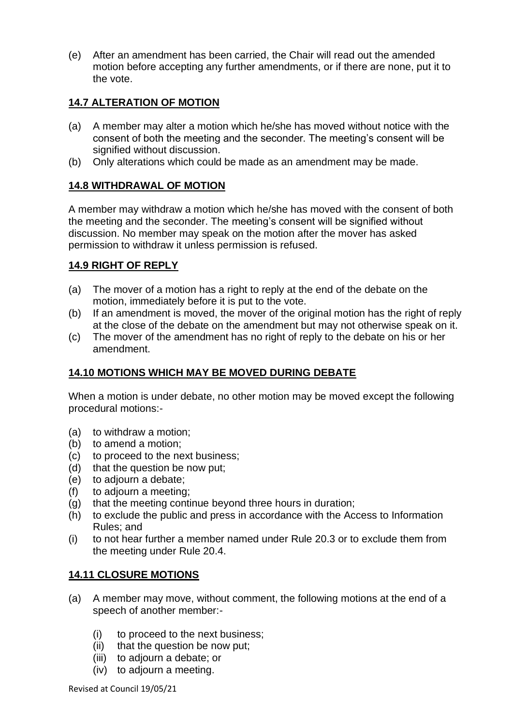(e) After an amendment has been carried, the Chair will read out the amended motion before accepting any further amendments, or if there are none, put it to the vote.

### **14.7 ALTERATION OF MOTION**

- (a) A member may alter a motion which he/she has moved without notice with the consent of both the meeting and the seconder. The meeting's consent will be signified without discussion.
- (b) Only alterations which could be made as an amendment may be made.

### **14.8 WITHDRAWAL OF MOTION**

A member may withdraw a motion which he/she has moved with the consent of both the meeting and the seconder. The meeting's consent will be signified without discussion. No member may speak on the motion after the mover has asked permission to withdraw it unless permission is refused.

### **14.9 RIGHT OF REPLY**

- (a) The mover of a motion has a right to reply at the end of the debate on the motion, immediately before it is put to the vote.
- (b) If an amendment is moved, the mover of the original motion has the right of reply at the close of the debate on the amendment but may not otherwise speak on it.
- (c) The mover of the amendment has no right of reply to the debate on his or her amendment.

### **14.10 MOTIONS WHICH MAY BE MOVED DURING DEBATE**

When a motion is under debate, no other motion may be moved except the following procedural motions:-

- (a) to withdraw a motion;
- (b) to amend a motion;
- (c) to proceed to the next business;
- (d) that the question be now put;
- (e) to adjourn a debate;
- (f) to adjourn a meeting;
- (g) that the meeting continue beyond three hours in duration;
- (h) to exclude the public and press in accordance with the Access to Information Rules; and
- (i) to not hear further a member named under Rule 20.3 or to exclude them from the meeting under Rule 20.4.

### **14.11 CLOSURE MOTIONS**

- (a) A member may move, without comment, the following motions at the end of a speech of another member:-
	- (i) to proceed to the next business;
	- (ii) that the question be now put;
	- (iii) to adjourn a debate; or
	- (iv) to adjourn a meeting.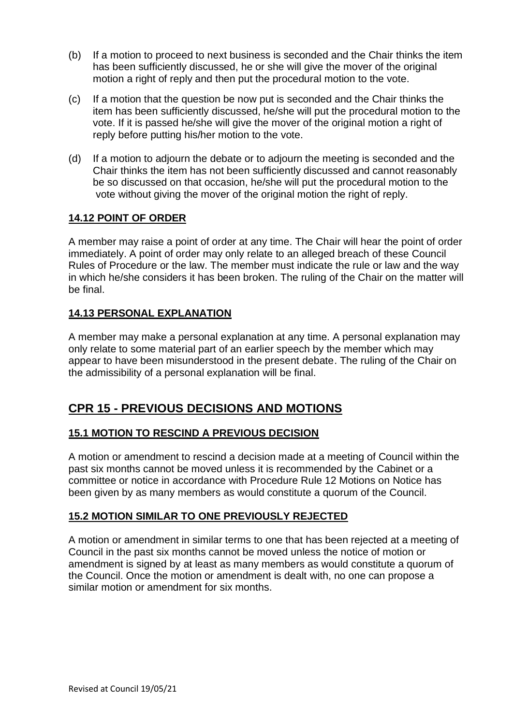- (b) If a motion to proceed to next business is seconded and the Chair thinks the item has been sufficiently discussed, he or she will give the mover of the original motion a right of reply and then put the procedural motion to the vote.
- (c) If a motion that the question be now put is seconded and the Chair thinks the item has been sufficiently discussed, he/she will put the procedural motion to the vote. If it is passed he/she will give the mover of the original motion a right of reply before putting his/her motion to the vote.
- (d) If a motion to adjourn the debate or to adjourn the meeting is seconded and the Chair thinks the item has not been sufficiently discussed and cannot reasonably be so discussed on that occasion, he/she will put the procedural motion to the vote without giving the mover of the original motion the right of reply.

### **14.12 POINT OF ORDER**

A member may raise a point of order at any time. The Chair will hear the point of order immediately. A point of order may only relate to an alleged breach of these Council Rules of Procedure or the law. The member must indicate the rule or law and the way in which he/she considers it has been broken. The ruling of the Chair on the matter will be final.

### **14.13 PERSONAL EXPLANATION**

A member may make a personal explanation at any time. A personal explanation may only relate to some material part of an earlier speech by the member which may appear to have been misunderstood in the present debate. The ruling of the Chair on the admissibility of a personal explanation will be final.

# **CPR 15 - PREVIOUS DECISIONS AND MOTIONS**

### **15.1 MOTION TO RESCIND A PREVIOUS DECISION**

A motion or amendment to rescind a decision made at a meeting of Council within the past six months cannot be moved unless it is recommended by the Cabinet or a committee or notice in accordance with Procedure Rule 12 Motions on Notice has been given by as many members as would constitute a quorum of the Council.

### **15.2 MOTION SIMILAR TO ONE PREVIOUSLY REJECTED**

A motion or amendment in similar terms to one that has been rejected at a meeting of Council in the past six months cannot be moved unless the notice of motion or amendment is signed by at least as many members as would constitute a quorum of the Council. Once the motion or amendment is dealt with, no one can propose a similar motion or amendment for six months.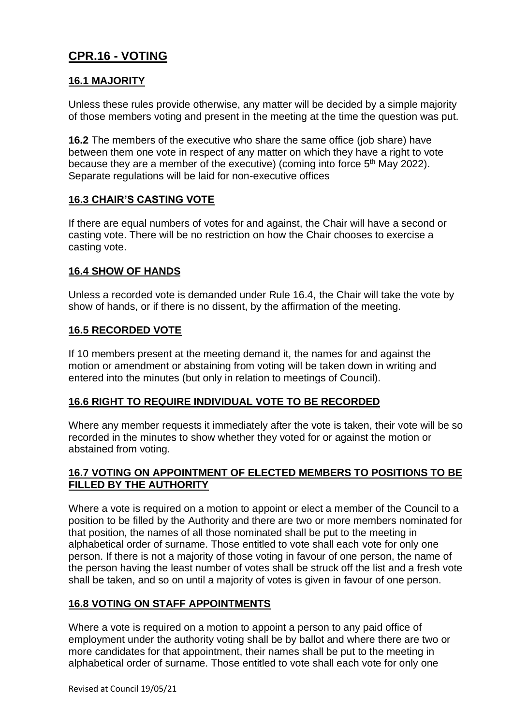# **CPR.16 - VOTING**

#### **16.1 MAJORITY**

Unless these rules provide otherwise, any matter will be decided by a simple majority of those members voting and present in the meeting at the time the question was put.

**16.2** The members of the executive who share the same office (job share) have between them one vote in respect of any matter on which they have a right to vote because they are a member of the executive) (coming into force  $5<sup>th</sup>$  May 2022). Separate regulations will be laid for non-executive offices

#### **16.3 CHAIR'S CASTING VOTE**

If there are equal numbers of votes for and against, the Chair will have a second or casting vote. There will be no restriction on how the Chair chooses to exercise a casting vote.

#### **16.4 SHOW OF HANDS**

Unless a recorded vote is demanded under Rule 16.4, the Chair will take the vote by show of hands, or if there is no dissent, by the affirmation of the meeting.

#### **16.5 RECORDED VOTE**

If 10 members present at the meeting demand it, the names for and against the motion or amendment or abstaining from voting will be taken down in writing and entered into the minutes (but only in relation to meetings of Council).

#### **16.6 RIGHT TO REQUIRE INDIVIDUAL VOTE TO BE RECORDED**

Where any member requests it immediately after the vote is taken, their vote will be so recorded in the minutes to show whether they voted for or against the motion or abstained from voting.

### **16.7 VOTING ON APPOINTMENT OF ELECTED MEMBERS TO POSITIONS TO BE FILLED BY THE AUTHORITY**

Where a vote is required on a motion to appoint or elect a member of the Council to a position to be filled by the Authority and there are two or more members nominated for that position, the names of all those nominated shall be put to the meeting in alphabetical order of surname. Those entitled to vote shall each vote for only one person. If there is not a majority of those voting in favour of one person, the name of the person having the least number of votes shall be struck off the list and a fresh vote shall be taken, and so on until a majority of votes is given in favour of one person.

### **16.8 VOTING ON STAFF APPOINTMENTS**

Where a vote is required on a motion to appoint a person to any paid office of employment under the authority voting shall be by ballot and where there are two or more candidates for that appointment, their names shall be put to the meeting in alphabetical order of surname. Those entitled to vote shall each vote for only one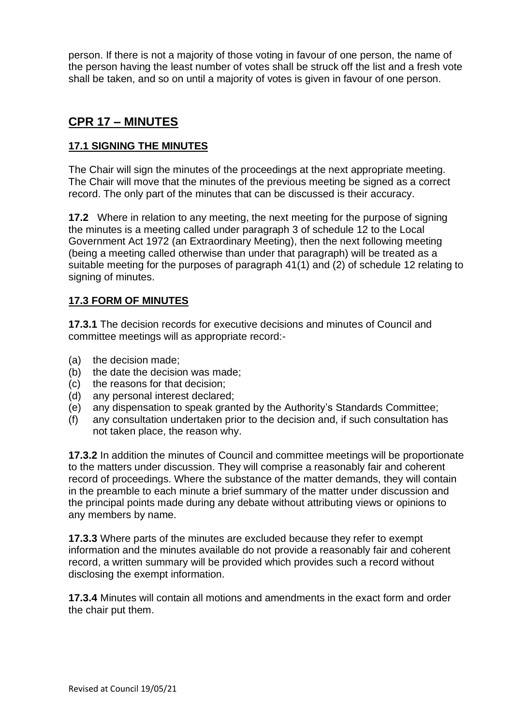person. If there is not a majority of those voting in favour of one person, the name of the person having the least number of votes shall be struck off the list and a fresh vote shall be taken, and so on until a majority of votes is given in favour of one person.

## **CPR 17 – MINUTES**

### **17.1 SIGNING THE MINUTES**

The Chair will sign the minutes of the proceedings at the next appropriate meeting. The Chair will move that the minutes of the previous meeting be signed as a correct record. The only part of the minutes that can be discussed is their accuracy.

**17.2** Where in relation to any meeting, the next meeting for the purpose of signing the minutes is a meeting called under paragraph 3 of schedule 12 to the Local Government Act 1972 (an Extraordinary Meeting), then the next following meeting (being a meeting called otherwise than under that paragraph) will be treated as a suitable meeting for the purposes of paragraph 41(1) and (2) of schedule 12 relating to signing of minutes.

#### **17.3 FORM OF MINUTES**

**17.3.1** The decision records for executive decisions and minutes of Council and committee meetings will as appropriate record:-

- (a) the decision made;
- (b) the date the decision was made;
- (c) the reasons for that decision;
- (d) any personal interest declared;
- (e) any dispensation to speak granted by the Authority's Standards Committee;
- (f) any consultation undertaken prior to the decision and, if such consultation has not taken place, the reason why.

**17.3.2** In addition the minutes of Council and committee meetings will be proportionate to the matters under discussion. They will comprise a reasonably fair and coherent record of proceedings. Where the substance of the matter demands, they will contain in the preamble to each minute a brief summary of the matter under discussion and the principal points made during any debate without attributing views or opinions to any members by name.

**17.3.3** Where parts of the minutes are excluded because they refer to exempt information and the minutes available do not provide a reasonably fair and coherent record, a written summary will be provided which provides such a record without disclosing the exempt information.

**17.3.4** Minutes will contain all motions and amendments in the exact form and order the chair put them.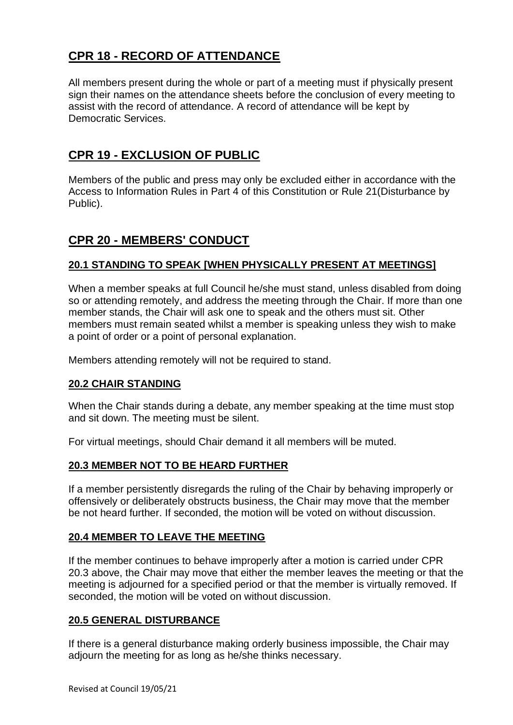# **CPR 18 - RECORD OF ATTENDANCE**

All members present during the whole or part of a meeting must if physically present sign their names on the attendance sheets before the conclusion of every meeting to assist with the record of attendance. A record of attendance will be kept by Democratic Services.

# **CPR 19 - EXCLUSION OF PUBLIC**

Members of the public and press may only be excluded either in accordance with the Access to Information Rules in Part 4 of this Constitution or Rule 21(Disturbance by Public).

# **CPR 20 - MEMBERS' CONDUCT**

### **20.1 STANDING TO SPEAK [WHEN PHYSICALLY PRESENT AT MEETINGS]**

When a member speaks at full Council he/she must stand, unless disabled from doing so or attending remotely, and address the meeting through the Chair. If more than one member stands, the Chair will ask one to speak and the others must sit. Other members must remain seated whilst a member is speaking unless they wish to make a point of order or a point of personal explanation.

Members attending remotely will not be required to stand.

#### **20.2 CHAIR STANDING**

When the Chair stands during a debate, any member speaking at the time must stop and sit down. The meeting must be silent.

For virtual meetings, should Chair demand it all members will be muted.

### **20.3 MEMBER NOT TO BE HEARD FURTHER**

If a member persistently disregards the ruling of the Chair by behaving improperly or offensively or deliberately obstructs business, the Chair may move that the member be not heard further. If seconded, the motion will be voted on without discussion.

### **20.4 MEMBER TO LEAVE THE MEETING**

If the member continues to behave improperly after a motion is carried under CPR 20.3 above, the Chair may move that either the member leaves the meeting or that the meeting is adjourned for a specified period or that the member is virtually removed. If seconded, the motion will be voted on without discussion.

#### **20.5 GENERAL DISTURBANCE**

If there is a general disturbance making orderly business impossible, the Chair may adjourn the meeting for as long as he/she thinks necessary.